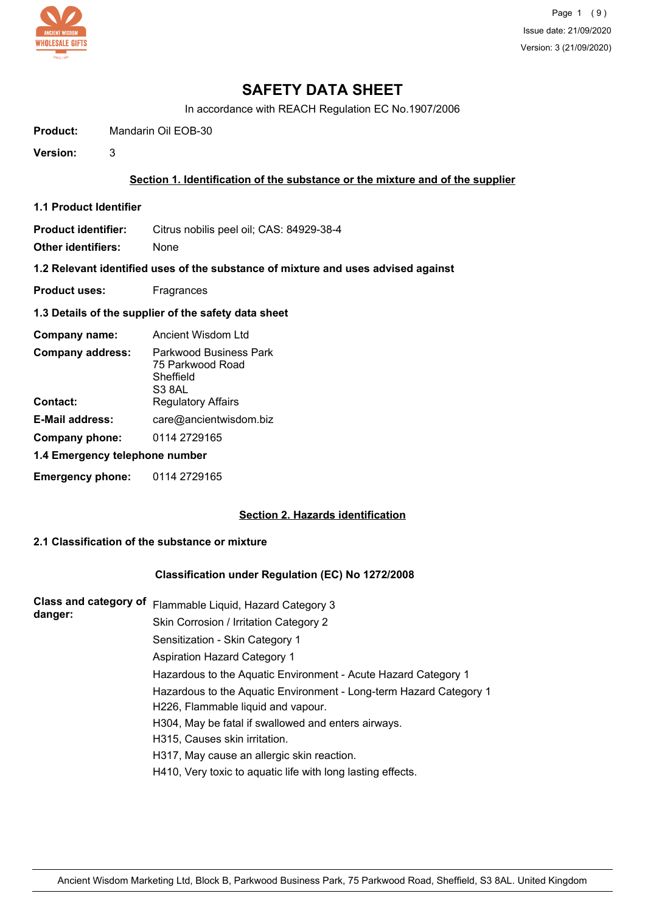

In accordance with REACH Regulation EC No.1907/2006

**Product:** Mandarin Oil EOB-30

**Version:** 3

## **Section 1. Identification of the substance or the mixture and of the supplier**

**1.1 Product Identifier**

**Product identifier:** Citrus nobilis peel oil; CAS: 84929-38-4

**Other identifiers:** None

**1.2 Relevant identified uses of the substance of mixture and uses advised against**

- **Product uses:** Fragrances
- **1.3 Details of the supplier of the safety data sheet**

| Company name:                  | Ancient Wisdom Ltd                                                |
|--------------------------------|-------------------------------------------------------------------|
| <b>Company address:</b>        | Parkwood Business Park<br>75 Parkwood Road<br>Sheffield<br>S3 8AL |
| Contact:                       | <b>Regulatory Affairs</b>                                         |
| <b>E-Mail address:</b>         | care@ancientwisdom.biz                                            |
| Company phone:                 | 0114 2729165                                                      |
| 1.4 Emergency telephone number |                                                                   |
| <b>Emergency phone:</b>        | 0114 2729165                                                      |

#### **Section 2. Hazards identification**

# **2.1 Classification of the substance or mixture**

#### **Classification under Regulation (EC) No 1272/2008**

| <b>Class and category of</b> | Flammable Liquid, Hazard Category 3                                |
|------------------------------|--------------------------------------------------------------------|
| danger:                      | Skin Corrosion / Irritation Category 2                             |
|                              | Sensitization - Skin Category 1                                    |
|                              | Aspiration Hazard Category 1                                       |
|                              | Hazardous to the Aquatic Environment - Acute Hazard Category 1     |
|                              | Hazardous to the Aquatic Environment - Long-term Hazard Category 1 |
|                              | H226, Flammable liquid and vapour.                                 |
|                              | H304, May be fatal if swallowed and enters airways.                |
|                              | H315, Causes skin irritation.                                      |
|                              | H317, May cause an allergic skin reaction.                         |
|                              | H410, Very toxic to aquatic life with long lasting effects.        |
|                              |                                                                    |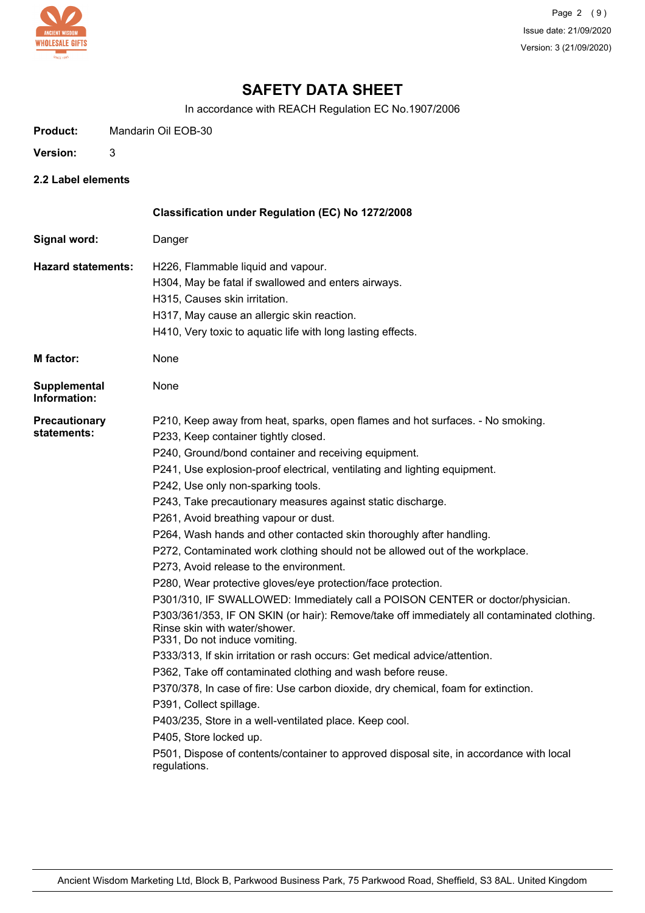

In accordance with REACH Regulation EC No.1907/2006

| <b>Product:</b> | Mandarin Oil EOB-30 |
|-----------------|---------------------|
|                 |                     |

- **Version:** 3
- **2.2 Label elements**

|                                     | Classification under Regulation (EC) No 1272/2008                                                                                                            |
|-------------------------------------|--------------------------------------------------------------------------------------------------------------------------------------------------------------|
| Signal word:                        | Danger                                                                                                                                                       |
| <b>Hazard statements:</b>           | H226, Flammable liquid and vapour.                                                                                                                           |
|                                     | H304, May be fatal if swallowed and enters airways.                                                                                                          |
|                                     | H315, Causes skin irritation.                                                                                                                                |
|                                     | H317, May cause an allergic skin reaction.                                                                                                                   |
|                                     | H410, Very toxic to aquatic life with long lasting effects.                                                                                                  |
| <b>M</b> factor:                    | None                                                                                                                                                         |
| <b>Supplemental</b><br>Information: | None                                                                                                                                                         |
| <b>Precautionary</b>                | P210, Keep away from heat, sparks, open flames and hot surfaces. - No smoking.                                                                               |
| statements:                         | P233, Keep container tightly closed.                                                                                                                         |
|                                     | P240, Ground/bond container and receiving equipment.                                                                                                         |
|                                     | P241, Use explosion-proof electrical, ventilating and lighting equipment.                                                                                    |
|                                     | P242, Use only non-sparking tools.                                                                                                                           |
|                                     | P243, Take precautionary measures against static discharge.                                                                                                  |
|                                     | P261, Avoid breathing vapour or dust.                                                                                                                        |
|                                     | P264, Wash hands and other contacted skin thoroughly after handling.                                                                                         |
|                                     | P272, Contaminated work clothing should not be allowed out of the workplace.                                                                                 |
|                                     | P273, Avoid release to the environment.                                                                                                                      |
|                                     | P280, Wear protective gloves/eye protection/face protection.                                                                                                 |
|                                     | P301/310, IF SWALLOWED: Immediately call a POISON CENTER or doctor/physician.                                                                                |
|                                     | P303/361/353, IF ON SKIN (or hair): Remove/take off immediately all contaminated clothing.<br>Rinse skin with water/shower.<br>P331, Do not induce vomiting. |
|                                     | P333/313, If skin irritation or rash occurs: Get medical advice/attention.                                                                                   |
|                                     | P362, Take off contaminated clothing and wash before reuse.                                                                                                  |
|                                     | P370/378, In case of fire: Use carbon dioxide, dry chemical, foam for extinction.                                                                            |
|                                     | P391, Collect spillage.                                                                                                                                      |
|                                     | P403/235, Store in a well-ventilated place. Keep cool.                                                                                                       |
|                                     | P405, Store locked up.                                                                                                                                       |
|                                     | P501, Dispose of contents/container to approved disposal site, in accordance with local<br>regulations.                                                      |
|                                     |                                                                                                                                                              |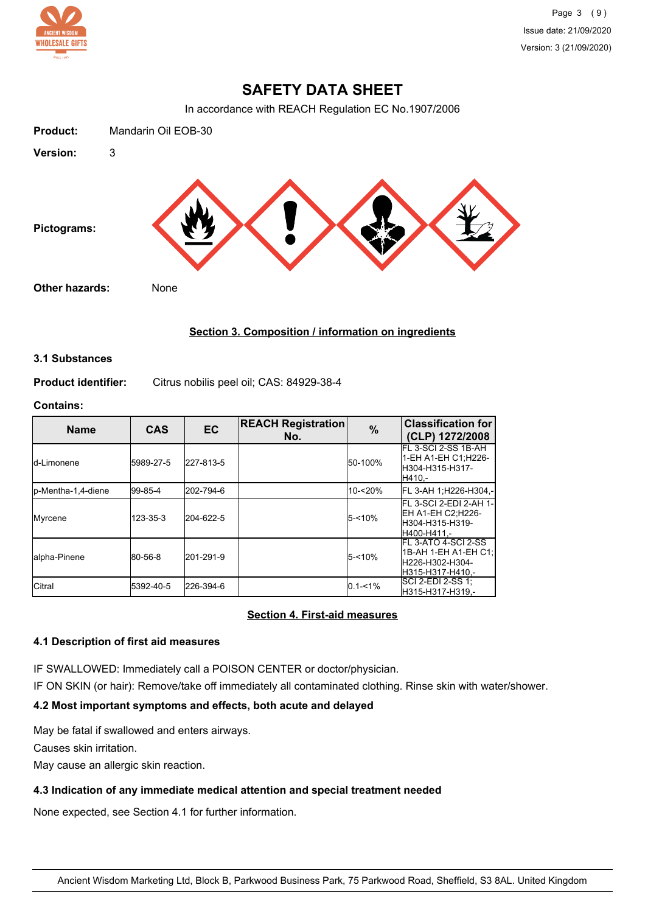

In accordance with REACH Regulation EC No.1907/2006



# **Section 3. Composition / information on ingredients**

#### **3.1 Substances**

**Product identifier:** Citrus nobilis peel oil; CAS: 84929-38-4

#### **Contains:**

| <b>Name</b>         | <b>CAS</b> | <b>EC</b> | <b>REACH Registration</b><br>No. | $\%$        | <b>Classification for</b><br>(CLP) 1272/2008                                         |
|---------------------|------------|-----------|----------------------------------|-------------|--------------------------------------------------------------------------------------|
| Id-Limonene         | 5989-27-5  | 227-813-5 |                                  | 50-100%     | FL 3-SCI 2-SS 1B-AH<br>1-EH A1-EH C1:H226-<br>H304-H315-H317-<br>H410.-              |
| lp-Mentha-1,4-diene | 99-85-4    | 202-794-6 |                                  | 10-<20%     | FL 3-AH 1; H226-H304,-                                                               |
| Myrcene             | 123-35-3   | 204-622-5 |                                  | $5 - 10%$   | FL 3-SCI 2-EDI 2-AH 1- <br>EH A1-EH C2:H226-<br>lH304-H315-H319-<br>H400-H411.-      |
| alpha-Pinene        | 80-56-8    | 201-291-9 |                                  | $5 - 10%$   | IFL 3-ATO 4-SCI 2-SS<br>1B-AH 1-EH A1-EH C1:<br>lH226-H302-H304-<br>H315-H317-H410.- |
| <b>Citral</b>       | 5392-40-5  | 226-394-6 |                                  | $0.1 - 1\%$ | SCI 2-EDI 2-SS 1:<br>H315-H317-H319.-                                                |

## **Section 4. First-aid measures**

## **4.1 Description of first aid measures**

IF SWALLOWED: Immediately call a POISON CENTER or doctor/physician.

IF ON SKIN (or hair): Remove/take off immediately all contaminated clothing. Rinse skin with water/shower.

# **4.2 Most important symptoms and effects, both acute and delayed**

May be fatal if swallowed and enters airways.

Causes skin irritation.

May cause an allergic skin reaction.

## **4.3 Indication of any immediate medical attention and special treatment needed**

None expected, see Section 4.1 for further information.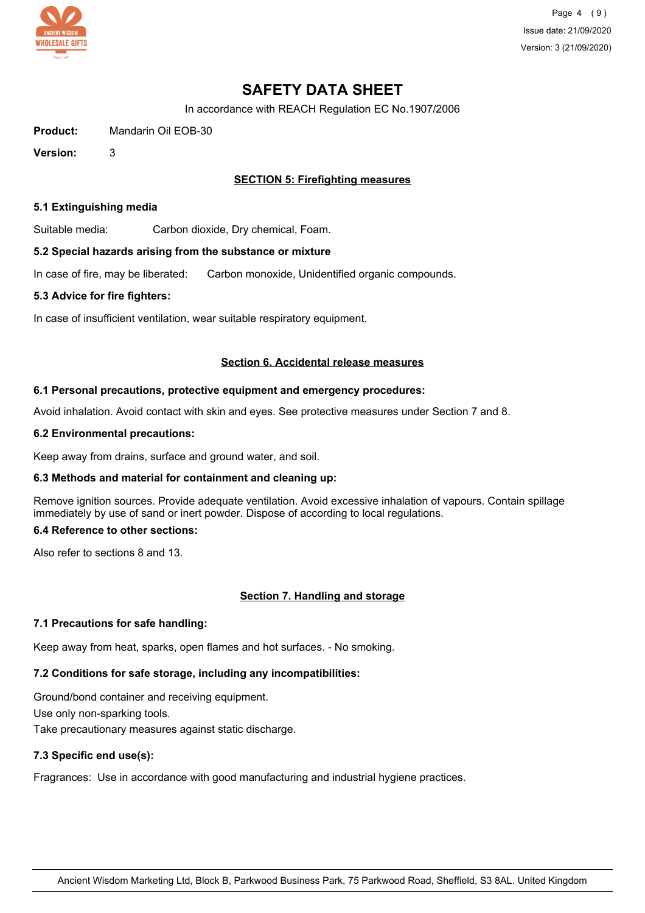

Page 4 (9) Issue date: 21/09/2020 Version: 3 (21/09/2020)

# **SAFETY DATA SHEET**

In accordance with REACH Regulation EC No.1907/2006

**Product:** Mandarin Oil EOB-30

**Version:** 3

## **SECTION 5: Firefighting measures**

#### **5.1 Extinguishing media**

Suitable media: Carbon dioxide, Dry chemical, Foam.

#### **5.2 Special hazards arising from the substance or mixture**

In case of fire, may be liberated: Carbon monoxide, Unidentified organic compounds.

#### **5.3 Advice for fire fighters:**

In case of insufficient ventilation, wear suitable respiratory equipment.

#### **Section 6. Accidental release measures**

#### **6.1 Personal precautions, protective equipment and emergency procedures:**

Avoid inhalation. Avoid contact with skin and eyes. See protective measures under Section 7 and 8.

#### **6.2 Environmental precautions:**

Keep away from drains, surface and ground water, and soil.

## **6.3 Methods and material for containment and cleaning up:**

Remove ignition sources. Provide adequate ventilation. Avoid excessive inhalation of vapours. Contain spillage immediately by use of sand or inert powder. Dispose of according to local regulations.

## **6.4 Reference to other sections:**

Also refer to sections 8 and 13.

## **Section 7. Handling and storage**

#### **7.1 Precautions for safe handling:**

Keep away from heat, sparks, open flames and hot surfaces. - No smoking.

# **7.2 Conditions for safe storage, including any incompatibilities:**

Ground/bond container and receiving equipment. Use only non-sparking tools. Take precautionary measures against static discharge.

# **7.3 Specific end use(s):**

Fragrances: Use in accordance with good manufacturing and industrial hygiene practices.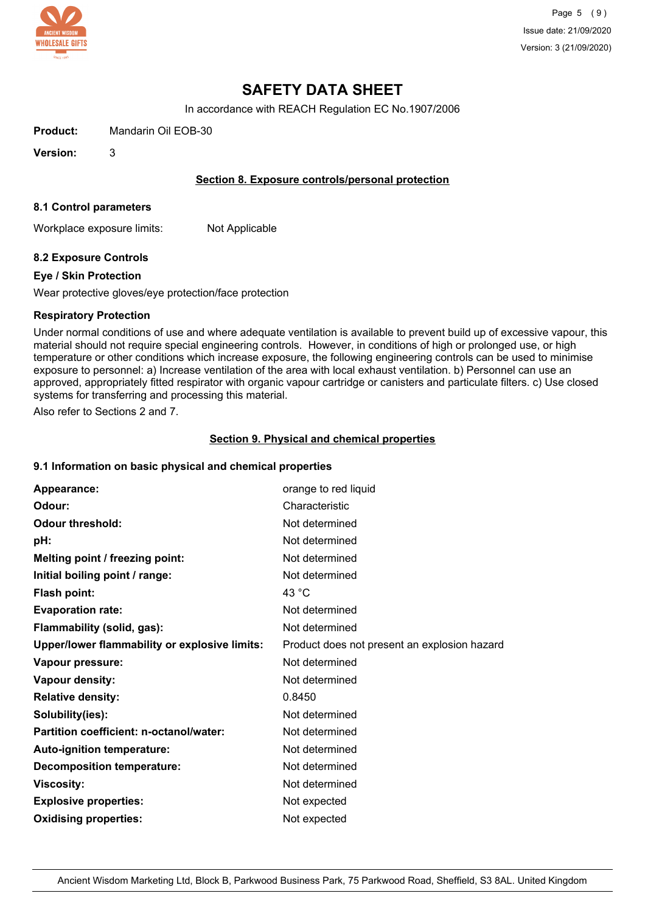

In accordance with REACH Regulation EC No.1907/2006

**Product:** Mandarin Oil EOB-30

**Version:** 3

## **Section 8. Exposure controls/personal protection**

#### **8.1 Control parameters**

Workplace exposure limits: Not Applicable

## **8.2 Exposure Controls**

#### **Eye / Skin Protection**

Wear protective gloves/eye protection/face protection

#### **Respiratory Protection**

Under normal conditions of use and where adequate ventilation is available to prevent build up of excessive vapour, this material should not require special engineering controls. However, in conditions of high or prolonged use, or high temperature or other conditions which increase exposure, the following engineering controls can be used to minimise exposure to personnel: a) Increase ventilation of the area with local exhaust ventilation. b) Personnel can use an approved, appropriately fitted respirator with organic vapour cartridge or canisters and particulate filters. c) Use closed systems for transferring and processing this material.

Also refer to Sections 2 and 7.

#### **Section 9. Physical and chemical properties**

#### **9.1 Information on basic physical and chemical properties**

| Appearance:                                   | orange to red liquid                         |
|-----------------------------------------------|----------------------------------------------|
| Odour:                                        | Characteristic                               |
| <b>Odour threshold:</b>                       | Not determined                               |
| pH:                                           | Not determined                               |
| Melting point / freezing point:               | Not determined                               |
| Initial boiling point / range:                | Not determined                               |
| Flash point:                                  | 43 °C                                        |
| <b>Evaporation rate:</b>                      | Not determined                               |
| Flammability (solid, gas):                    | Not determined                               |
| Upper/lower flammability or explosive limits: | Product does not present an explosion hazard |
| Vapour pressure:                              | Not determined                               |
| Vapour density:                               | Not determined                               |
| <b>Relative density:</b>                      | 0.8450                                       |
| Solubility(ies):                              | Not determined                               |
| Partition coefficient: n-octanol/water:       | Not determined                               |
| <b>Auto-ignition temperature:</b>             | Not determined                               |
| <b>Decomposition temperature:</b>             | Not determined                               |
| <b>Viscosity:</b>                             | Not determined                               |
| <b>Explosive properties:</b>                  | Not expected                                 |
| <b>Oxidising properties:</b>                  | Not expected                                 |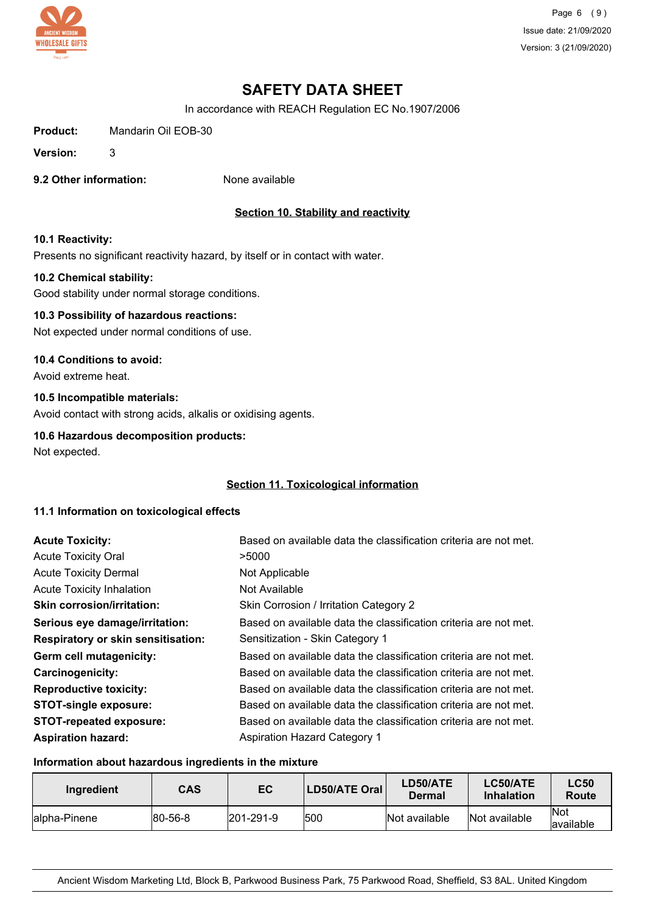

Page 6 (9) Issue date: 21/09/2020 Version: 3 (21/09/2020)

# **SAFETY DATA SHEET**

In accordance with REACH Regulation EC No.1907/2006

**Product:** Mandarin Oil EOB-30

**Version:** 3

**9.2 Other information:** None available

# **Section 10. Stability and reactivity**

#### **10.1 Reactivity:**

Presents no significant reactivity hazard, by itself or in contact with water.

#### **10.2 Chemical stability:**

Good stability under normal storage conditions.

# **10.3 Possibility of hazardous reactions:**

Not expected under normal conditions of use.

#### **10.4 Conditions to avoid:**

Avoid extreme heat.

# **10.5 Incompatible materials:**

Avoid contact with strong acids, alkalis or oxidising agents.

## **10.6 Hazardous decomposition products:**

Not expected.

### **Section 11. Toxicological information**

#### **11.1 Information on toxicological effects**

| <b>Acute Toxicity:</b>                    | Based on available data the classification criteria are not met. |
|-------------------------------------------|------------------------------------------------------------------|
| <b>Acute Toxicity Oral</b>                | >5000                                                            |
| <b>Acute Toxicity Dermal</b>              | Not Applicable                                                   |
| Acute Toxicity Inhalation                 | Not Available                                                    |
| <b>Skin corrosion/irritation:</b>         | Skin Corrosion / Irritation Category 2                           |
| Serious eye damage/irritation:            | Based on available data the classification criteria are not met. |
| <b>Respiratory or skin sensitisation:</b> | Sensitization - Skin Category 1                                  |
| Germ cell mutagenicity:                   | Based on available data the classification criteria are not met. |
| <b>Carcinogenicity:</b>                   | Based on available data the classification criteria are not met. |
| <b>Reproductive toxicity:</b>             | Based on available data the classification criteria are not met. |
| <b>STOT-single exposure:</b>              | Based on available data the classification criteria are not met. |
| <b>STOT-repeated exposure:</b>            | Based on available data the classification criteria are not met. |
| <b>Aspiration hazard:</b>                 | <b>Aspiration Hazard Category 1</b>                              |

## **Information about hazardous ingredients in the mixture**

| Ingredient    | CAS             | EC                | <b>LD50/ATE Oral</b> | LD50/ATE<br>Dermal | LC50/ATE<br><b>Inhalation</b> | <b>LC50</b><br>Route |
|---------------|-----------------|-------------------|----------------------|--------------------|-------------------------------|----------------------|
| lalpha-Pinene | $ 80 - 56 - 8 $ | $ 201 - 291 - 9 $ | 1500                 | Not available      | Not available                 | lNot<br>lavailable   |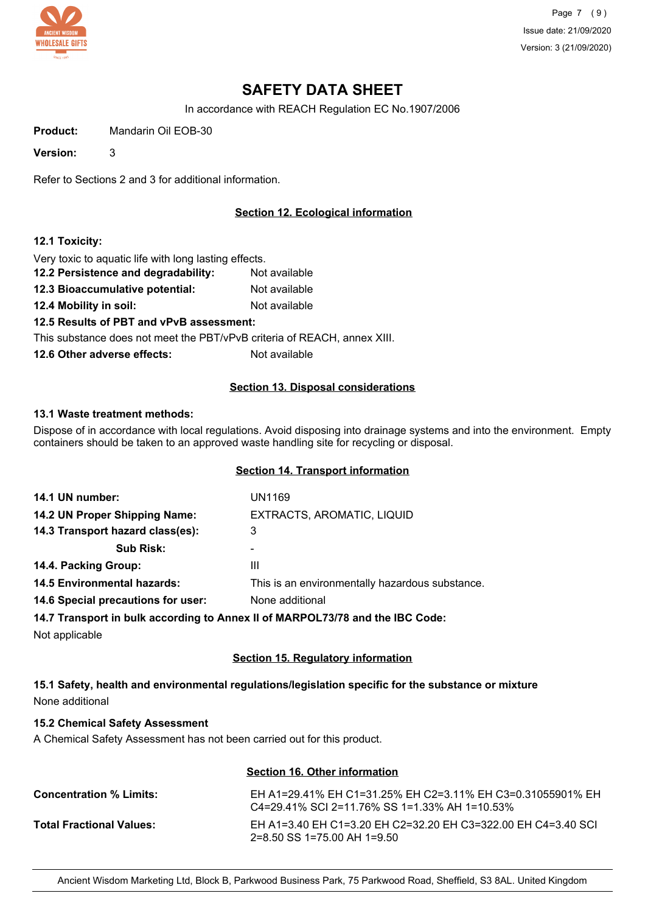

Page 7 (9) Issue date: 21/09/2020 Version: 3 (21/09/2020)

# **SAFETY DATA SHEET**

In accordance with REACH Regulation EC No.1907/2006

**Product:** Mandarin Oil EOB-30

**Version:** 3

Refer to Sections 2 and 3 for additional information.

# **Section 12. Ecological information**

#### **12.1 Toxicity:**

Very toxic to aquatic life with long lasting effects.

- **12.2 Persistence and degradability:** Not available
- **12.3 Bioaccumulative potential:** Not available
- **12.4 Mobility in soil:** Not available

**12.5 Results of PBT and vPvB assessment:**

This substance does not meet the PBT/vPvB criteria of REACH, annex XIII.

**12.6 Other adverse effects:** Not available

#### **Section 13. Disposal considerations**

#### **13.1 Waste treatment methods:**

Dispose of in accordance with local regulations. Avoid disposing into drainage systems and into the environment. Empty containers should be taken to an approved waste handling site for recycling or disposal.

## **Section 14. Transport information**

| 14.1 UN number:                    | UN1169                                          |
|------------------------------------|-------------------------------------------------|
| 14.2 UN Proper Shipping Name:      | EXTRACTS, AROMATIC, LIQUID                      |
| 14.3 Transport hazard class(es):   | 3                                               |
| <b>Sub Risk:</b>                   |                                                 |
| 14.4. Packing Group:               | Ш                                               |
| <b>14.5 Environmental hazards:</b> | This is an environmentally hazardous substance. |
| 14.6 Special precautions for user: | None additional                                 |
|                                    |                                                 |

**14.7 Transport in bulk according to Annex II of MARPOL73/78 and the IBC Code:**

Not applicable

## **Section 15. Regulatory information**

**15.1 Safety, health and environmental regulations/legislation specific for the substance or mixture** None additional

## **15.2 Chemical Safety Assessment**

A Chemical Safety Assessment has not been carried out for this product.

| Section 16. Other information   |                                                                                                             |  |
|---------------------------------|-------------------------------------------------------------------------------------------------------------|--|
| <b>Concentration % Limits:</b>  | EH A1=29.41% EH C1=31.25% EH C2=3.11% EH C3=0.31055901% EH<br>C4=29.41% SCI 2=11.76% SS 1=1.33% AH 1=10.53% |  |
| <b>Total Fractional Values:</b> | EH A1=3.40 EH C1=3.20 EH C2=32.20 EH C3=322.00 EH C4=3.40 SCI<br>$2=8.50$ SS 1=75.00 AH 1=9.50              |  |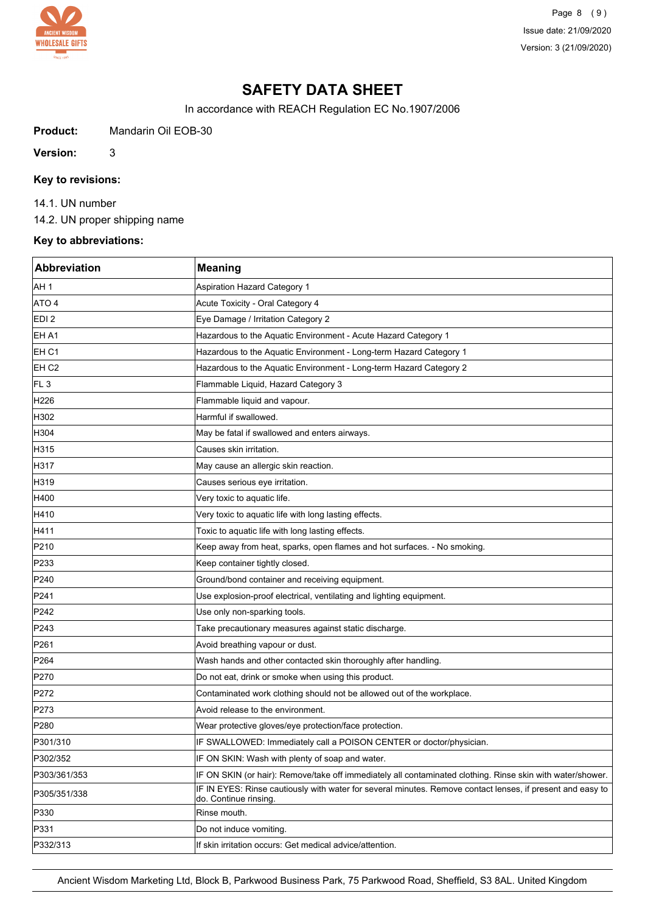

Page 8 (9) Issue date: 21/09/2020 Version: 3 (21/09/2020)

# **SAFETY DATA SHEET**

In accordance with REACH Regulation EC No.1907/2006

**Product:** Mandarin Oil EOB-30

**Version:** 3

# **Key to revisions:**

14.1. UN number

14.2. UN proper shipping name

# **Key to abbreviations:**

| <b>Abbreviation</b> | <b>Meaning</b>                                                                                                                      |
|---------------------|-------------------------------------------------------------------------------------------------------------------------------------|
| AH 1                | <b>Aspiration Hazard Category 1</b>                                                                                                 |
| ATO 4               | Acute Toxicity - Oral Category 4                                                                                                    |
| EDI <sub>2</sub>    | Eye Damage / Irritation Category 2                                                                                                  |
| EH A1               | Hazardous to the Aquatic Environment - Acute Hazard Category 1                                                                      |
| EH <sub>C1</sub>    | Hazardous to the Aquatic Environment - Long-term Hazard Category 1                                                                  |
| EH <sub>C2</sub>    | Hazardous to the Aquatic Environment - Long-term Hazard Category 2                                                                  |
| FL <sub>3</sub>     | Flammable Liquid, Hazard Category 3                                                                                                 |
| H226                | Flammable liquid and vapour.                                                                                                        |
| H302                | Harmful if swallowed.                                                                                                               |
| H304                | May be fatal if swallowed and enters airways.                                                                                       |
| H315                | Causes skin irritation.                                                                                                             |
| H317                | May cause an allergic skin reaction.                                                                                                |
| H319                | Causes serious eye irritation.                                                                                                      |
| H400                | Very toxic to aquatic life.                                                                                                         |
| H410                | Very toxic to aquatic life with long lasting effects.                                                                               |
| H411                | Toxic to aquatic life with long lasting effects.                                                                                    |
| P210                | Keep away from heat, sparks, open flames and hot surfaces. - No smoking.                                                            |
| P233                | Keep container tightly closed.                                                                                                      |
| P240                | Ground/bond container and receiving equipment.                                                                                      |
| P241                | Use explosion-proof electrical, ventilating and lighting equipment.                                                                 |
| P242                | Use only non-sparking tools.                                                                                                        |
| P243                | Take precautionary measures against static discharge.                                                                               |
| P261                | Avoid breathing vapour or dust.                                                                                                     |
| P <sub>264</sub>    | Wash hands and other contacted skin thoroughly after handling.                                                                      |
| P270                | Do not eat, drink or smoke when using this product.                                                                                 |
| P272                | Contaminated work clothing should not be allowed out of the workplace.                                                              |
| P273                | Avoid release to the environment.                                                                                                   |
| P280                | Wear protective gloves/eye protection/face protection.                                                                              |
| P301/310            | IF SWALLOWED: Immediately call a POISON CENTER or doctor/physician.                                                                 |
| P302/352            | IF ON SKIN: Wash with plenty of soap and water.                                                                                     |
| P303/361/353        | IF ON SKIN (or hair): Remove/take off immediately all contaminated clothing. Rinse skin with water/shower.                          |
| P305/351/338        | IF IN EYES: Rinse cautiously with water for several minutes. Remove contact lenses, if present and easy to<br>do. Continue rinsing. |
| P330                | Rinse mouth.                                                                                                                        |
| P331                | Do not induce vomiting.                                                                                                             |
| P332/313            | If skin irritation occurs: Get medical advice/attention.                                                                            |

Ancient Wisdom Marketing Ltd, Block B, Parkwood Business Park, 75 Parkwood Road, Sheffield, S3 8AL. United Kingdom